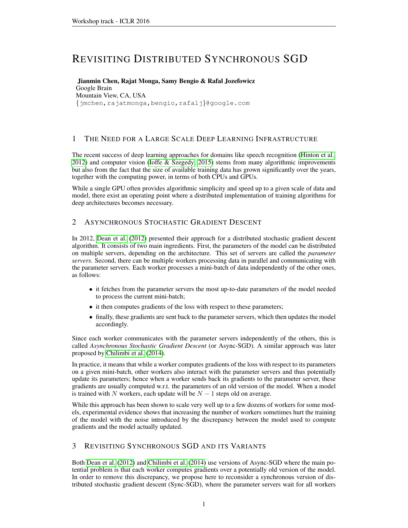# REVISITING DISTRIBUTED SYNCHRONOUS SGD

Jianmin Chen, Rajat Monga, Samy Bengio & Rafal Jozefowicz Google Brain Mountain View, CA, USA {jmchen,rajatmonga,bengio,rafalj}@google.com

## 1 THE NEED FOR A LARGE SCALE DEEP LEARNING INFRASTRUCTURE

The recent success of deep learning approaches for domains like speech recognition [\(Hinton et al.,](#page-3-0) [2012\)](#page-3-0) and computer vision [\(Ioffe & Szegedy, 2015\)](#page-4-0) stems from many algorithmic improvements but also from the fact that the size of available training data has grown significantly over the years, together with the computing power, in terms of both CPUs and GPUs.

While a single GPU often provides algorithmic simplicity and speed up to a given scale of data and model, there exist an operating point where a distributed implementation of training algorithms for deep architectures becomes necessary.

## 2 ASYNCHRONOUS STOCHASTIC GRADIENT DESCENT

In 2012, [Dean et al.](#page-3-1) [\(2012\)](#page-3-1) presented their approach for a distributed stochastic gradient descent algorithm. It consists of two main ingredients. First, the parameters of the model can be distributed on multiple servers, depending on the architecture. This set of servers are called the *parameter servers*. Second, there can be multiple workers processing data in parallel and communicating with the parameter servers. Each worker processes a mini-batch of data independently of the other ones, as follows:

- it fetches from the parameter servers the most up-to-date parameters of the model needed to process the current mini-batch;
- it then computes gradients of the loss with respect to these parameters;
- finally, these gradients are sent back to the parameter servers, which then updates the model accordingly.

Since each worker communicates with the parameter servers independently of the others, this is called *Asynchronous Stochastic Gradient Descent* (or Async-SGD). A similar approach was later proposed by [Chilimbi et al.](#page-3-2) [\(2014\)](#page-3-2).

In practice, it means that while a worker computes gradients of the loss with respect to its parameters on a given mini-batch, other workers also interact with the parameter servers and thus potentially update its parameters; hence when a worker sends back its gradients to the parameter server, these gradients are usually computed w.r.t. the parameters of an old version of the model. When a model is trained with N workers, each update will be  $N-1$  steps old on average.

While this approach has been shown to scale very well up to a few dozens of workers for some models, experimental evidence shows that increasing the number of workers sometimes hurt the training of the model with the noise introduced by the discrepancy between the model used to compute gradients and the model actually updated.

## 3 REVISITING SYNCHRONOUS SGD AND ITS VARIANTS

Both [Dean et al.](#page-3-1) [\(2012\)](#page-3-1) and [Chilimbi et al.](#page-3-2) [\(2014\)](#page-3-2) use versions of Async-SGD where the main potential problem is that each worker computes gradients over a potentially old version of the model. In order to remove this discrepancy, we propose here to reconsider a synchronous version of distributed stochastic gradient descent (Sync-SGD), where the parameter servers wait for all workers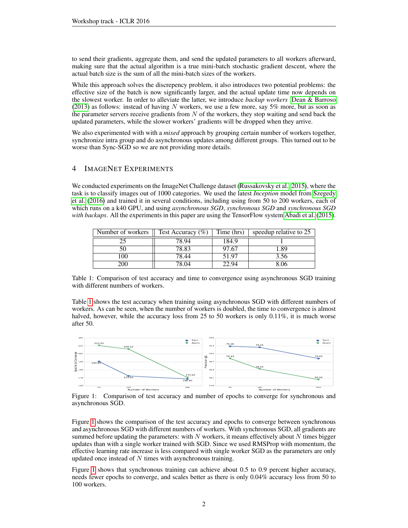to send their gradients, aggregate them, and send the updated parameters to all workers afterward, making sure that the actual algorithm is a true mini-batch stochastic gradient descent, where the actual batch size is the sum of all the mini-batch sizes of the workers.

While this approach solves the discrepency problem, it also introduces two potential problems: the effective size of the batch is now significantly larger, and the actual update time now depends on the slowest worker. In order to alleviate the latter, we introduce *backup workers* [Dean & Barroso](#page-3-3) [\(2013\)](#page-3-3) as follows: instead of having N workers, we use a few more, say  $5\%$  more, but as soon as the parameter servers receive gradients from  $N$  of the workers, they stop waiting and send back the updated parameters, while the slower workers' gradients will be dropped when they arrive.

We also experimented with with a *mixed* approach by grouping certain number of workers together, synchronize intra group and do asynchronous updates among different groups. This turned out to be worse than Sync-SGD so we are not providing more details.

### 4 IMAGENET EXPERIMENTS

We conducted experiments on the ImageNet Challenge dataset [\(Russakovsky et al., 2015\)](#page-4-1), where the task is to classify images out of 1000 categories. We used the latest *Inception* model from [Szegedy](#page-4-2) [et al.](#page-4-2) [\(2016\)](#page-4-2) and trained it in several conditions, including using from 50 to 200 workers, each of which runs on a k40 GPU, and using *asynchronous SGD*, *synchronous SGD* and *synchronous SGD with backups*. All the experiments in this paper are using the TensorFlow system [Abadi et al.](#page-3-4) [\(2015\)](#page-3-4).

| Number of workers | Test Accuracy $(\%)$ | Time (hrs) | speedup relative to 25 |
|-------------------|----------------------|------------|------------------------|
|                   | 78.94                | 184.9      |                        |
|                   | $78.\overline{83}$   | 97.67      | 1.89                   |
| 100               | 78.44                | 51.97      | 3.56                   |
| 200               | 78.04                | 17 Q4      | 8.06                   |

<span id="page-1-0"></span>Table 1: Comparison of test accuracy and time to convergence using asynchronous SGD training with different numbers of workers.

Table [1](#page-1-0) shows the test accuracy when training using asynchronous SGD with different numbers of workers. As can be seen, when the number of workers is doubled, the time to convergence is almost halved, however, while the accuracy loss from 25 to 50 workers is only 0.11%, it is much worse after 50.



<span id="page-1-1"></span>Figure 1: Comparison of test accuracy and number of epochs to converge for synchronous and asynchronous SGD.

Figure [1](#page-1-1) shows the comparison of the test accuracy and epochs to converge between synchronous and asynchronous SGD with different numbers of workers. With synchronous SGD, all gradients are summed before updating the parameters: with  $N$  workers, it means effectively about  $N$  times bigger updates than with a single worker trained with SGD. Since we used RMSProp with momentum, the effective learning rate increase is less compared with single worker SGD as the parameters are only updated once instead of  $N$  times with asynchronous training.

Figure [1](#page-1-1) shows that synchronous training can achieve about 0.5 to 0.9 percent higher accuracy, needs fewer epochs to converge, and scales better as there is only 0.04% accuracy loss from 50 to 100 workers.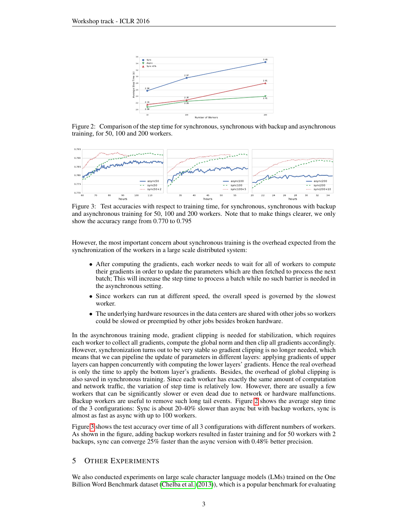

<span id="page-2-0"></span>Figure 2: Comparison of the step time for synchronous, synchronous with backup and asynchronous training, for 50, 100 and 200 workers.



<span id="page-2-1"></span>Figure 3: Test accuracies with respect to training time, for synchronous, synchronous with backup and asynchronous training for 50, 100 and 200 workers. Note that to make things clearer, we only show the accuracy range from 0.770 to 0.795

However, the most important concern about synchronous training is the overhead expected from the synchronization of the workers in a large scale distributed system:

- After computing the gradients, each worker needs to wait for all of workers to compute their gradients in order to update the parameters which are then fetched to process the next batch; This will increase the step time to process a batch while no such barrier is needed in the asynchronous setting.
- Since workers can run at different speed, the overall speed is governed by the slowest worker.
- The underlying hardware resources in the data centers are shared with other jobs so workers could be slowed or preemptied by other jobs besides broken hardware.

In the asynchronous training mode, gradient clipping is needed for stabilization, which requires each worker to collect all gradients, compute the global norm and then clip all gradients accordingly. However, synchronization turns out to be very stable so gradient clipping is no longer needed, which means that we can pipeline the update of parameters in different layers: applying gradients of upper layers can happen concurrently with computing the lower layers' gradients. Hence the real overhead is only the time to apply the bottom layer's gradients. Besides, the overhead of global clipping is also saved in synchronous training. Since each worker has exactly the same amount of computation and network traffic, the variation of step time is relatively low. However, there are usually a few workers that can be significantly slower or even dead due to network or hardware malfunctions. Backup workers are useful to remove such long tail events. Figure [2](#page-2-0) shows the average step time of the 3 configurations: Sync is about 20-40% slower than async but with backup workers, sync is almost as fast as async with up to 100 workers.

Figure [3](#page-2-1) shows the test accuracy over time of all 3 configurations with different numbers of workers. As shown in the figure, adding backup workers resulted in faster training and for 50 workers with 2 backups, sync can converge 25% faster than the async version with 0.48% better precision.

#### 5 OTHER EXPERIMENTS

We also conducted experiments on large scale character language models (LMs) trained on the One Billion Word Benchmark dataset [\(Chelba et al.](#page-3-5) [\(2013\)](#page-3-5)), which is a popular benchmark for evaluating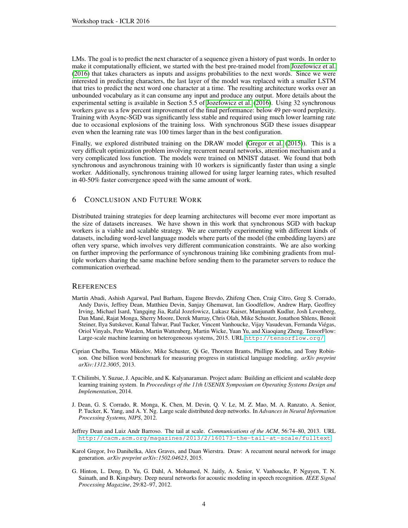LMs. The goal is to predict the next character of a sequence given a history of past words. In order to make it computationally efficient, we started with the best pre-trained model from [Jozefowicz et al.](#page-4-3) [\(2016\)](#page-4-3) that takes characters as inputs and assigns probabilities to the next words. Since we were interested in predicting characters, the last layer of the model was replaced with a smaller LSTM that tries to predict the next word one character at a time. The resulting architecture works over an unbounded vocabulary as it can consume any input and produce any output. More details about the experimental setting is available in Section 5.5 of [Jozefowicz et al.](#page-4-3) [\(2016\)](#page-4-3). Using 32 synchronous workers gave us a few percent improvement of the final performance: below 49 per-word perplexity. Training with Async-SGD was significantly less stable and required using much lower learning rate due to occasional explosions of the training loss. With synchronous SGD these issues disappear even when the learning rate was 100 times larger than in the best configuration.

Finally, we explored distributed training on the DRAW model [\(Gregor et al.](#page-3-6) [\(2015\)](#page-3-6)). This is a very difficult optimization problem involving recurrent neural networks, attention mechanism and a very complicated loss function. The models were trained on MNIST dataset. We found that both synchronous and asynchronous training with 10 workers is significantly faster than using a single worker. Additionally, synchronous training allowed for using larger learning rates, which resulted in 40-50% faster convergence speed with the same amount of work.

#### 6 CONCLUSION AND FUTURE WORK

Distributed training strategies for deep learning architectures will become ever more important as the size of datasets increases. We have shown in this work that synchronous SGD with backup workers is a viable and scalable strategy. We are currently experimenting with different kinds of datasets, including word-level language models where parts of the model (the embedding layers) are often very sparse, which involves very different communication constraints. We are also working on further improving the performance of synchronous training like combining gradients from multiple workers sharing the same machine before sending them to the parameter servers to reduce the communication overhead.

#### **REFERENCES**

- <span id="page-3-4"></span>Martín Abadi, Ashish Agarwal, Paul Barham, Eugene Brevdo, Zhifeng Chen, Craig Citro, Greg S. Corrado, Andy Davis, Jeffrey Dean, Matthieu Devin, Sanjay Ghemawat, Ian Goodfellow, Andrew Harp, Geoffrey Irving, Michael Isard, Yangqing Jia, Rafal Jozefowicz, Lukasz Kaiser, Manjunath Kudlur, Josh Levenberg, Dan Mane, Rajat Monga, Sherry Moore, Derek Murray, Chris Olah, Mike Schuster, Jonathon Shlens, Benoit ´ Steiner, Ilya Sutskever, Kunal Talwar, Paul Tucker, Vincent Vanhoucke, Vijay Vasudevan, Fernanda Viegas, ´ Oriol Vinyals, Pete Warden, Martin Wattenberg, Martin Wicke, Yuan Yu, and Xiaoqiang Zheng. TensorFlow: Large-scale machine learning on heterogeneous systems, 2015. URL <http://tensorflow.org/>.
- <span id="page-3-5"></span>Ciprian Chelba, Tomas Mikolov, Mike Schuster, Qi Ge, Thorsten Brants, Phillipp Koehn, and Tony Robinson. One billion word benchmark for measuring progress in statistical language modeling. *arXiv preprint arXiv:1312.3005*, 2013.
- <span id="page-3-2"></span>T. Chilimbi, Y. Suzue, J. Apacible, and K. Kalyanaraman. Project adam: Building an efficient and scalable deep learning training system. In *Proceedings of the 11th USENIX Symposium on Operating Systems Design and Implementation*, 2014.
- <span id="page-3-1"></span>J. Dean, G. S. Corrado, R. Monga, K. Chen, M. Devin, Q. V. Le, M. Z. Mao, M. A. Ranzato, A. Senior, P. Tucker, K. Yang, and A. Y. Ng. Large scale distributed deep networks. In *Advances in Neural Information Processing Systems, NIPS*, 2012.
- <span id="page-3-3"></span>Jeffrey Dean and Luiz Andr Barroso. The tail at scale. *Communications of the ACM*, 56:74–80, 2013. URL <http://cacm.acm.org/magazines/2013/2/160173-the-tail-at-scale/fulltext>.
- <span id="page-3-6"></span>Karol Gregor, Ivo Danihelka, Alex Graves, and Daan Wierstra. Draw: A recurrent neural network for image generation. *arXiv preprint arXiv:1502.04623*, 2015.
- <span id="page-3-0"></span>G. Hinton, L. Deng, D. Yu, G. Dahl, A. Mohamed, N. Jaitly, A. Senior, V. Vanhoucke, P. Nguyen, T. N. Sainath, and B. Kingsbury. Deep neural networks for acoustic modeling in speech recognition. *IEEE Signal Processing Magazine*, 29:82–97, 2012.